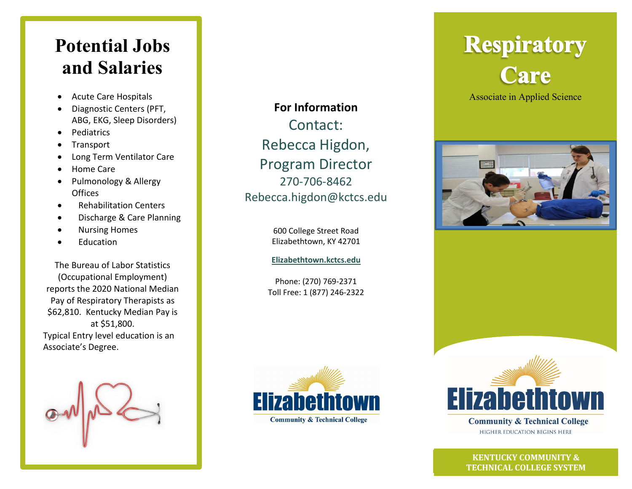## **Potential Jobs and Salaries**

- Acute Care Hospitals
- Diagnostic Centers (PFT, ABG, EKG, Sleep Disorders)
- Pediatrics
- **Transport**
- Long Term Ventilator Care
- Home Care
- Pulmonology & Allergy Offices
- Rehabilitation Centers
- Discharge & Care Planning
- Nursing Homes
- **Education**

The Bureau of Labor Statistics (Occupational Employment) reports the 2020 National Median Pay of Respiratory Therapists as \$62,810. Kentucky Median Pay is at \$51,800. Typical Entry level education is an Associate's Degree.



**For Information** Contact: Rebecca Higdon, Program Director 270-706-8462 Rebecca.higdon@kctcs.edu

> 600 College Street Road Elizabethtown, KY 42701

**[Elizabethtown.kctcs.edu](http://www.elizabethtown.kctcs.edu/)**

Phone: (270) 769-2371 Toll Free: 1 (877) 246-2322



# **Respiratory** Care

Associate in Applied Science





**Community & Technical College** HIGHER EDUCATION BEGINS HERE

 **KENTUCKY COMMUNITY & TECHNICAL COLLEGE SYSTEM**